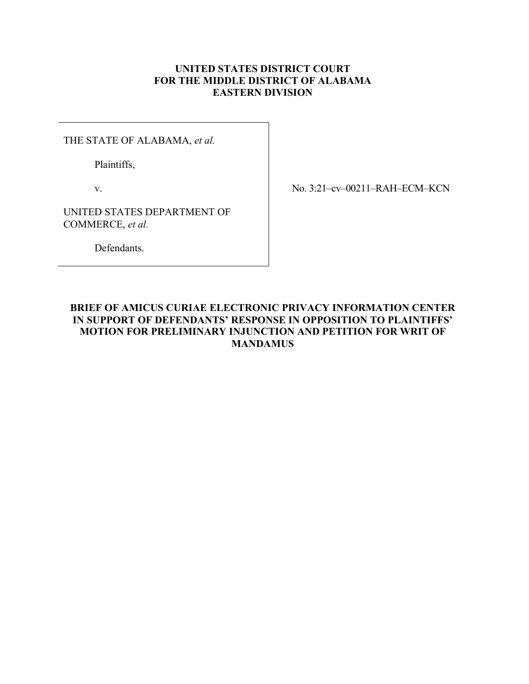## **UNITED STATES DISTRICT COURT FOR THE MIDDLE DISTRICT OF ALABAMA EASTERN DIVISION**

THE STATE OF ALABAMA, *et al.*

Plaintiffs,

v.

No. 3:21–cv–00211–RAH–ECM–KCN

UNITED STATES DEPARTMENT OF COMMERCE, *et al.*

Defendants.

## **BRIEF OF AMICUS CURIAE ELECTRONIC PRIVACY INFORMATION CENTER IN SUPPORT OF DEFENDANTS' RESPONSE IN OPPOSITION TO PLAINTIFFS' MOTION FOR PRELIMINARY INJUNCTION AND PETITION FOR WRIT OF MANDAMUS**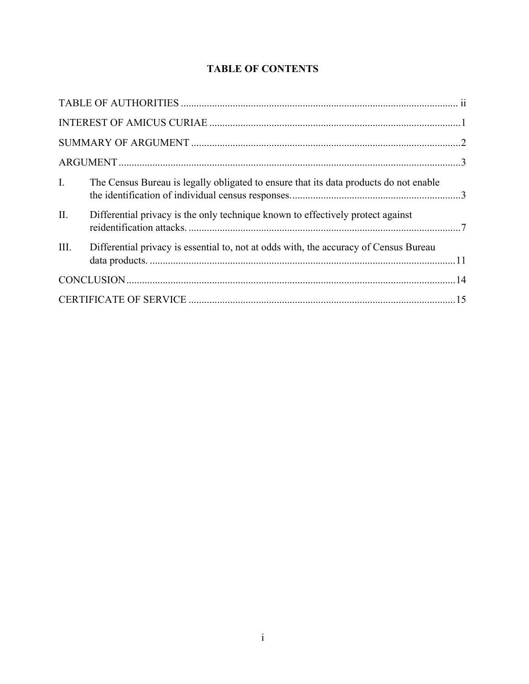# **TABLE OF CONTENTS**

| $\mathbf{I}$ . | The Census Bureau is legally obligated to ensure that its data products do not enable |  |  |
|----------------|---------------------------------------------------------------------------------------|--|--|
| II.            | Differential privacy is the only technique known to effectively protect against       |  |  |
| III.           | Differential privacy is essential to, not at odds with, the accuracy of Census Bureau |  |  |
|                |                                                                                       |  |  |
|                |                                                                                       |  |  |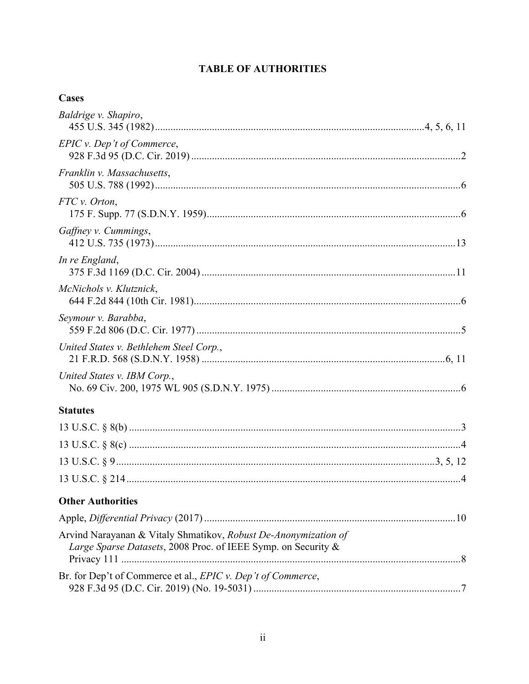## **TABLE OF AUTHORITIES**

| Cases                                                                                                                            |
|----------------------------------------------------------------------------------------------------------------------------------|
| Baldrige v. Shapiro,                                                                                                             |
| EPIC v. Dep't of Commerce,                                                                                                       |
| Franklin v. Massachusetts,                                                                                                       |
| FTC v. Orton,                                                                                                                    |
| Gaffney v. Cummings,                                                                                                             |
| In re England,                                                                                                                   |
| McNichols v. Klutznick,                                                                                                          |
| Seymour v. Barabba,                                                                                                              |
| United States v. Bethlehem Steel Corp.,                                                                                          |
| United States v. IBM Corp.,                                                                                                      |
| <b>Statutes</b>                                                                                                                  |
|                                                                                                                                  |
|                                                                                                                                  |
|                                                                                                                                  |
|                                                                                                                                  |
| <b>Other Authorities</b>                                                                                                         |
|                                                                                                                                  |
| Arvind Narayanan & Vitaly Shmatikov, Robust De-Anonymization of<br>Large Sparse Datasets, 2008 Proc. of IEEE Symp. on Security & |
| Br. for Dep't of Commerce et al., EPIC v. Dep't of Commerce,                                                                     |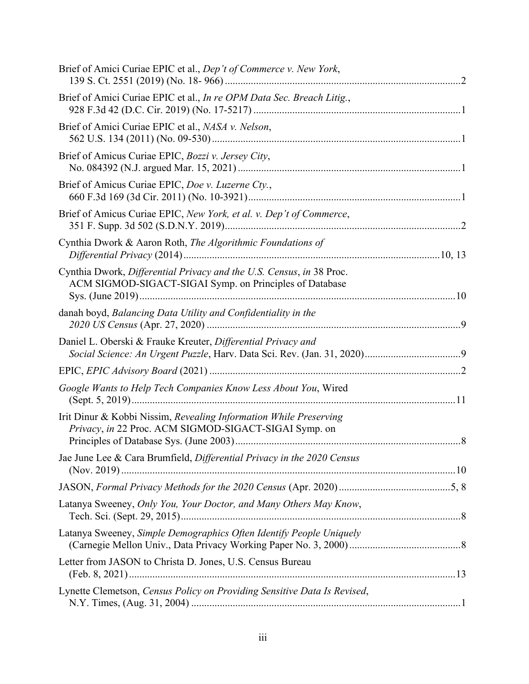| Brief of Amici Curiae EPIC et al., Dep't of Commerce v. New York,                                                               |
|---------------------------------------------------------------------------------------------------------------------------------|
| Brief of Amici Curiae EPIC et al., In re OPM Data Sec. Breach Litig.,                                                           |
| Brief of Amici Curiae EPIC et al., NASA v. Nelson,                                                                              |
| Brief of Amicus Curiae EPIC, Bozzi v. Jersey City,                                                                              |
| Brief of Amicus Curiae EPIC, Doe v. Luzerne Cty.,                                                                               |
| Brief of Amicus Curiae EPIC, New York, et al. v. Dep't of Commerce,                                                             |
| Cynthia Dwork & Aaron Roth, The Algorithmic Foundations of                                                                      |
| Cynthia Dwork, Differential Privacy and the U.S. Census, in 38 Proc.<br>ACM SIGMOD-SIGACT-SIGAI Symp. on Principles of Database |
| danah boyd, Balancing Data Utility and Confidentiality in the                                                                   |
| Daniel L. Oberski & Frauke Kreuter, Differential Privacy and                                                                    |
|                                                                                                                                 |
| Google Wants to Help Tech Companies Know Less About You, Wired                                                                  |
| Irit Dinur & Kobbi Nissim, Revealing Information While Preserving<br>Privacy, in 22 Proc. ACM SIGMOD-SIGACT-SIGAI Symp. on      |
| Jae June Lee & Cara Brumfield, Differential Privacy in the 2020 Census                                                          |
|                                                                                                                                 |
| Latanya Sweeney, Only You, Your Doctor, and Many Others May Know,                                                               |
| Latanya Sweeney, Simple Demographics Often Identify People Uniquely                                                             |
| Letter from JASON to Christa D. Jones, U.S. Census Bureau                                                                       |
| Lynette Clemetson, Census Policy on Providing Sensitive Data Is Revised,                                                        |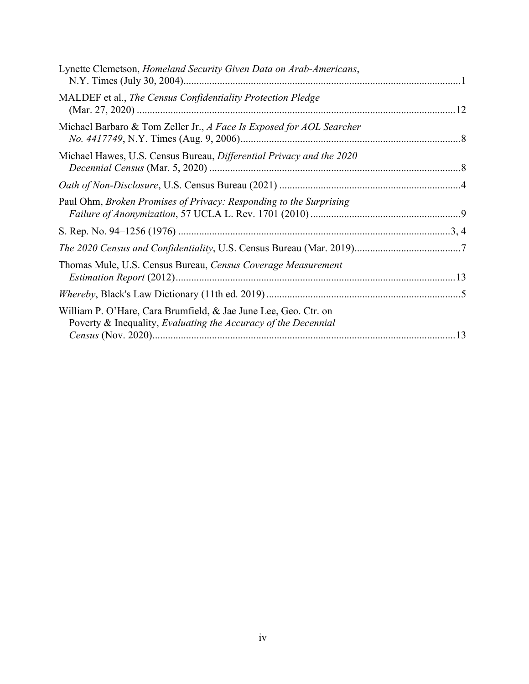| Lynette Clemetson, <i>Homeland Security Given Data on Arab-Americans</i> ,                                                        |  |
|-----------------------------------------------------------------------------------------------------------------------------------|--|
| MALDEF et al., The Census Confidentiality Protection Pledge                                                                       |  |
| Michael Barbaro & Tom Zeller Jr., A Face Is Exposed for AOL Searcher                                                              |  |
| Michael Hawes, U.S. Census Bureau, Differential Privacy and the 2020                                                              |  |
|                                                                                                                                   |  |
| Paul Ohm, Broken Promises of Privacy: Responding to the Surprising                                                                |  |
|                                                                                                                                   |  |
|                                                                                                                                   |  |
| Thomas Mule, U.S. Census Bureau, Census Coverage Measurement                                                                      |  |
|                                                                                                                                   |  |
| William P. O'Hare, Cara Brumfield, & Jae June Lee, Geo. Ctr. on<br>Poverty & Inequality, Evaluating the Accuracy of the Decennial |  |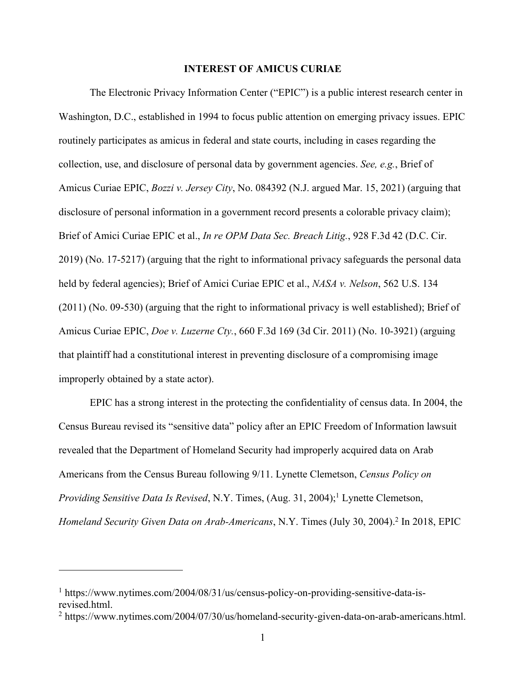#### **INTEREST OF AMICUS CURIAE**

The Electronic Privacy Information Center ("EPIC") is a public interest research center in Washington, D.C., established in 1994 to focus public attention on emerging privacy issues. EPIC routinely participates as amicus in federal and state courts, including in cases regarding the collection, use, and disclosure of personal data by government agencies. *See, e.g.*, Brief of Amicus Curiae EPIC, *Bozzi v. Jersey City*, No. 084392 (N.J. argued Mar. 15, 2021) (arguing that disclosure of personal information in a government record presents a colorable privacy claim); Brief of Amici Curiae EPIC et al., *In re OPM Data Sec. Breach Litig.*, 928 F.3d 42 (D.C. Cir. 2019) (No. 17-5217) (arguing that the right to informational privacy safeguards the personal data held by federal agencies); Brief of Amici Curiae EPIC et al., *NASA v. Nelson*, 562 U.S. 134 (2011) (No. 09-530) (arguing that the right to informational privacy is well established); Brief of Amicus Curiae EPIC, *Doe v. Luzerne Cty.*, 660 F.3d 169 (3d Cir. 2011) (No. 10-3921) (arguing that plaintiff had a constitutional interest in preventing disclosure of a compromising image improperly obtained by a state actor).

EPIC has a strong interest in the protecting the confidentiality of census data. In 2004, the Census Bureau revised its "sensitive data" policy after an EPIC Freedom of Information lawsuit revealed that the Department of Homeland Security had improperly acquired data on Arab Americans from the Census Bureau following 9/11. Lynette Clemetson, *Census Policy on Providing Sensitive Data Is Revised*, N.Y. Times, (Aug. 31, 2004); <sup>1</sup> Lynette Clemetson, *Homeland Security Given Data on Arab-Americans*, N.Y. Times (July 30, 2004). <sup>2</sup> In 2018, EPIC

<sup>&</sup>lt;sup>1</sup> https://www.nytimes.com/2004/08/31/us/census-policy-on-providing-sensitive-data-isrevised.html.

<sup>&</sup>lt;sup>2</sup> https://www.nytimes.com/2004/07/30/us/homeland-security-given-data-on-arab-americans.html.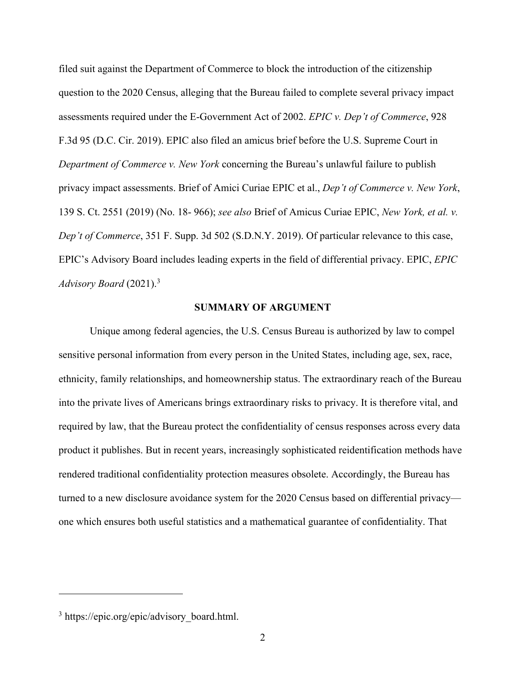filed suit against the Department of Commerce to block the introduction of the citizenship question to the 2020 Census, alleging that the Bureau failed to complete several privacy impact assessments required under the E-Government Act of 2002. *EPIC v. Dep't of Commerce*, 928 F.3d 95 (D.C. Cir. 2019). EPIC also filed an amicus brief before the U.S. Supreme Court in *Department of Commerce v. New York* concerning the Bureau's unlawful failure to publish privacy impact assessments. Brief of Amici Curiae EPIC et al., *Dep't of Commerce v. New York*, 139 S. Ct. 2551 (2019) (No. 18- 966); *see also* Brief of Amicus Curiae EPIC, *New York, et al. v. Dep't of Commerce*, 351 F. Supp. 3d 502 (S.D.N.Y. 2019). Of particular relevance to this case, EPIC's Advisory Board includes leading experts in the field of differential privacy. EPIC, *EPIC Advisory Board* (2021). 3

#### **SUMMARY OF ARGUMENT**

Unique among federal agencies, the U.S. Census Bureau is authorized by law to compel sensitive personal information from every person in the United States, including age, sex, race, ethnicity, family relationships, and homeownership status. The extraordinary reach of the Bureau into the private lives of Americans brings extraordinary risks to privacy. It is therefore vital, and required by law, that the Bureau protect the confidentiality of census responses across every data product it publishes. But in recent years, increasingly sophisticated reidentification methods have rendered traditional confidentiality protection measures obsolete. Accordingly, the Bureau has turned to a new disclosure avoidance system for the 2020 Census based on differential privacy one which ensures both useful statistics and a mathematical guarantee of confidentiality. That

<sup>&</sup>lt;sup>3</sup> https://epic.org/epic/advisory board.html.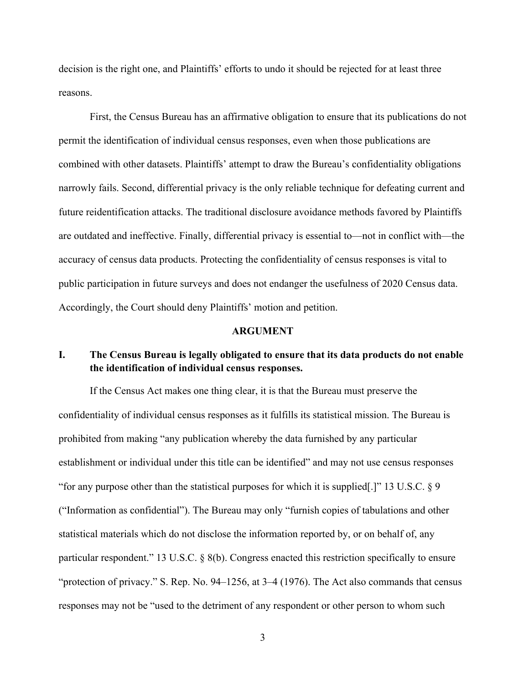decision is the right one, and Plaintiffs' efforts to undo it should be rejected for at least three reasons.

First, the Census Bureau has an affirmative obligation to ensure that its publications do not permit the identification of individual census responses, even when those publications are combined with other datasets. Plaintiffs' attempt to draw the Bureau's confidentiality obligations narrowly fails. Second, differential privacy is the only reliable technique for defeating current and future reidentification attacks. The traditional disclosure avoidance methods favored by Plaintiffs are outdated and ineffective. Finally, differential privacy is essential to—not in conflict with—the accuracy of census data products. Protecting the confidentiality of census responses is vital to public participation in future surveys and does not endanger the usefulness of 2020 Census data. Accordingly, the Court should deny Plaintiffs' motion and petition.

#### **ARGUMENT**

## **I. The Census Bureau is legally obligated to ensure that its data products do not enable the identification of individual census responses.**

If the Census Act makes one thing clear, it is that the Bureau must preserve the confidentiality of individual census responses as it fulfills its statistical mission. The Bureau is prohibited from making "any publication whereby the data furnished by any particular establishment or individual under this title can be identified" and may not use census responses "for any purpose other than the statistical purposes for which it is supplied[.]" 13 U.S.C. § 9 ("Information as confidential"). The Bureau may only "furnish copies of tabulations and other statistical materials which do not disclose the information reported by, or on behalf of, any particular respondent." 13 U.S.C. § 8(b). Congress enacted this restriction specifically to ensure "protection of privacy." S. Rep. No. 94–1256, at 3–4 (1976). The Act also commands that census responses may not be "used to the detriment of any respondent or other person to whom such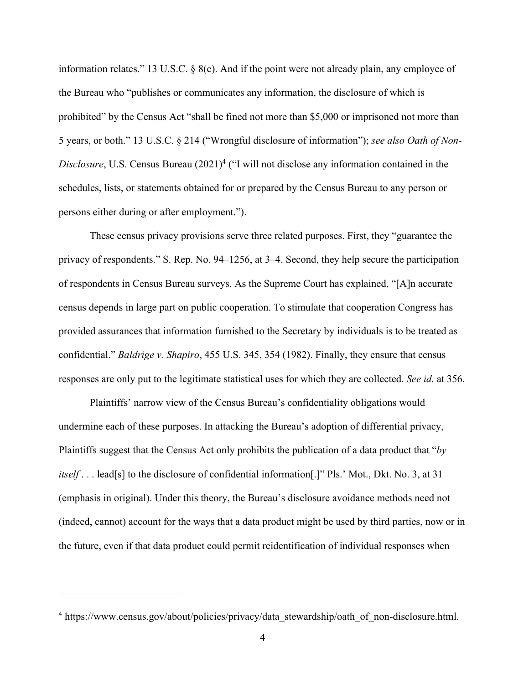information relates." 13 U.S.C. § 8(c). And if the point were not already plain, any employee of the Bureau who "publishes or communicates any information, the disclosure of which is prohibited" by the Census Act "shall be fined not more than \$5,000 or imprisoned not more than 5 years, or both." 13 U.S.C. § 214 ("Wrongful disclosure of information"); *see also Oath of Non-Disclosure*, U.S. Census Bureau (2021)<sup>4</sup> ("I will not disclose any information contained in the schedules, lists, or statements obtained for or prepared by the Census Bureau to any person or persons either during or after employment.").

These census privacy provisions serve three related purposes. First, they "guarantee the privacy of respondents." S. Rep. No. 94–1256, at 3–4. Second, they help secure the participation of respondents in Census Bureau surveys. As the Supreme Court has explained, "[A]n accurate census depends in large part on public cooperation. To stimulate that cooperation Congress has provided assurances that information furnished to the Secretary by individuals is to be treated as confidential." *Baldrige v. Shapiro*, 455 U.S. 345, 354 (1982). Finally, they ensure that census responses are only put to the legitimate statistical uses for which they are collected. *See id.* at 356.

Plaintiffs' narrow view of the Census Bureau's confidentiality obligations would undermine each of these purposes. In attacking the Bureau's adoption of differential privacy, Plaintiffs suggest that the Census Act only prohibits the publication of a data product that "*by itself* . . . lead[s] to the disclosure of confidential information[.]" Pls.' Mot., Dkt. No. 3, at 31 (emphasis in original). Under this theory, the Bureau's disclosure avoidance methods need not (indeed, cannot) account for the ways that a data product might be used by third parties, now or in the future, even if that data product could permit reidentification of individual responses when

<sup>&</sup>lt;sup>4</sup> https://www.census.gov/about/policies/privacy/data\_stewardship/oath\_of\_non-disclosure.html.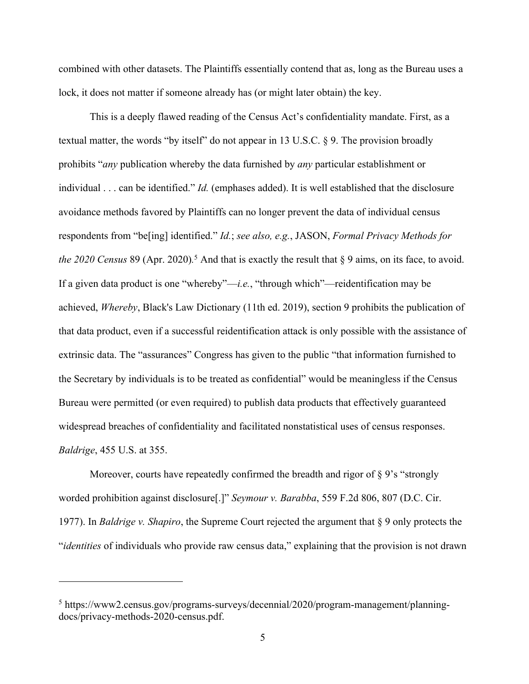combined with other datasets. The Plaintiffs essentially contend that as, long as the Bureau uses a lock, it does not matter if someone already has (or might later obtain) the key.

This is a deeply flawed reading of the Census Act's confidentiality mandate. First, as a textual matter, the words "by itself" do not appear in 13 U.S.C. § 9. The provision broadly prohibits "*any* publication whereby the data furnished by *any* particular establishment or individual . . . can be identified." *Id.* (emphases added). It is well established that the disclosure avoidance methods favored by Plaintiffs can no longer prevent the data of individual census respondents from "be[ing] identified." *Id.*; *see also, e.g.*, JASON, *Formal Privacy Methods for the 2020 Census* 89 (Apr. 2020)*.* <sup>5</sup> And that is exactly the result that § 9 aims, on its face, to avoid. If a given data product is one "whereby"—*i.e.*, "through which"—reidentification may be achieved, *Whereby*, Black's Law Dictionary (11th ed. 2019), section 9 prohibits the publication of that data product, even if a successful reidentification attack is only possible with the assistance of extrinsic data. The "assurances" Congress has given to the public "that information furnished to the Secretary by individuals is to be treated as confidential" would be meaningless if the Census Bureau were permitted (or even required) to publish data products that effectively guaranteed widespread breaches of confidentiality and facilitated nonstatistical uses of census responses. *Baldrige*, 455 U.S. at 355.

Moreover, courts have repeatedly confirmed the breadth and rigor of §9's "strongly worded prohibition against disclosure[.]" *Seymour v. Barabba*, 559 F.2d 806, 807 (D.C. Cir. 1977). In *Baldrige v. Shapiro*, the Supreme Court rejected the argument that § 9 only protects the "*identities* of individuals who provide raw census data," explaining that the provision is not drawn

<sup>5</sup> https://www2.census.gov/programs-surveys/decennial/2020/program-management/planningdocs/privacy-methods-2020-census.pdf.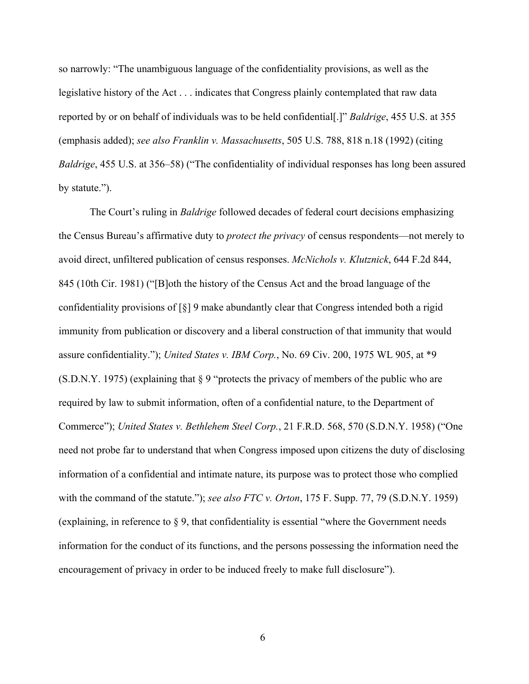so narrowly: "The unambiguous language of the confidentiality provisions, as well as the legislative history of the Act . . . indicates that Congress plainly contemplated that raw data reported by or on behalf of individuals was to be held confidential[.]" *Baldrige*, 455 U.S. at 355 (emphasis added); *see also Franklin v. Massachusetts*, 505 U.S. 788, 818 n.18 (1992) (citing *Baldrige*, 455 U.S. at 356–58) ("The confidentiality of individual responses has long been assured by statute.").

The Court's ruling in *Baldrige* followed decades of federal court decisions emphasizing the Census Bureau's affirmative duty to *protect the privacy* of census respondents—not merely to avoid direct, unfiltered publication of census responses. *McNichols v. Klutznick*, 644 F.2d 844, 845 (10th Cir. 1981) ("[B]oth the history of the Census Act and the broad language of the confidentiality provisions of  $\lceil \xi \rceil$  9 make abundantly clear that Congress intended both a rigid immunity from publication or discovery and a liberal construction of that immunity that would assure confidentiality."); *United States v. IBM Corp.*, No. 69 Civ. 200, 1975 WL 905, at \*9 (S.D.N.Y. 1975) (explaining that § 9 "protects the privacy of members of the public who are required by law to submit information, often of a confidential nature, to the Department of Commerce"); *United States v. Bethlehem Steel Corp.*, 21 F.R.D. 568, 570 (S.D.N.Y. 1958) ("One need not probe far to understand that when Congress imposed upon citizens the duty of disclosing information of a confidential and intimate nature, its purpose was to protect those who complied with the command of the statute."); *see also FTC v. Orton*, 175 F. Supp. 77, 79 (S.D.N.Y. 1959) (explaining, in reference to § 9, that confidentiality is essential "where the Government needs information for the conduct of its functions, and the persons possessing the information need the encouragement of privacy in order to be induced freely to make full disclosure").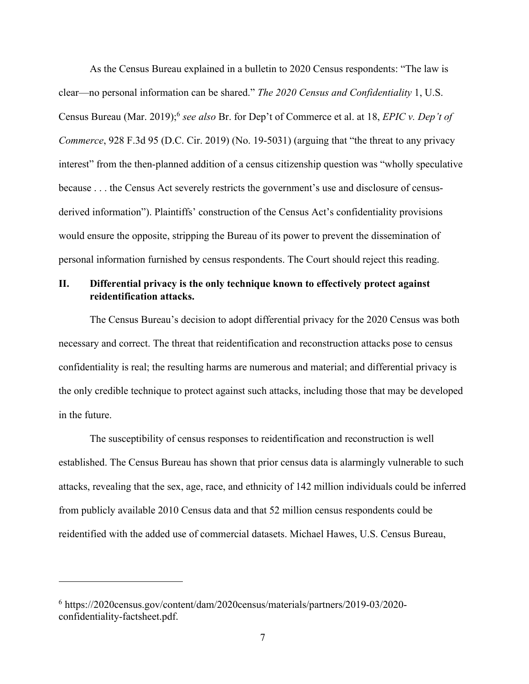As the Census Bureau explained in a bulletin to 2020 Census respondents: "The law is clear—no personal information can be shared." *The 2020 Census and Confidentiality* 1, U.S. Census Bureau (Mar. 2019); <sup>6</sup> *see also* Br. for Dep't of Commerce et al. at 18, *EPIC v. Dep't of Commerce*, 928 F.3d 95 (D.C. Cir. 2019) (No. 19-5031) (arguing that "the threat to any privacy interest" from the then-planned addition of a census citizenship question was "wholly speculative because . . . the Census Act severely restricts the government's use and disclosure of censusderived information"). Plaintiffs' construction of the Census Act's confidentiality provisions would ensure the opposite, stripping the Bureau of its power to prevent the dissemination of personal information furnished by census respondents. The Court should reject this reading.

## **II. Differential privacy is the only technique known to effectively protect against reidentification attacks.**

The Census Bureau's decision to adopt differential privacy for the 2020 Census was both necessary and correct. The threat that reidentification and reconstruction attacks pose to census confidentiality is real; the resulting harms are numerous and material; and differential privacy is the only credible technique to protect against such attacks, including those that may be developed in the future.

The susceptibility of census responses to reidentification and reconstruction is well established. The Census Bureau has shown that prior census data is alarmingly vulnerable to such attacks, revealing that the sex, age, race, and ethnicity of 142 million individuals could be inferred from publicly available 2010 Census data and that 52 million census respondents could be reidentified with the added use of commercial datasets. Michael Hawes, U.S. Census Bureau,

<sup>6</sup> https://2020census.gov/content/dam/2020census/materials/partners/2019-03/2020 confidentiality-factsheet.pdf.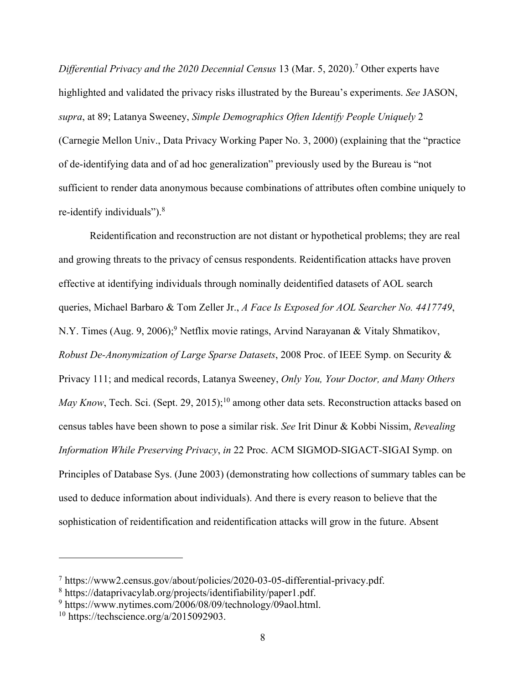*Differential Privacy and the 2020 Decennial Census* 13 (Mar. 5, 2020). <sup>7</sup> Other experts have highlighted and validated the privacy risks illustrated by the Bureau's experiments. *See* JASON, *supra*, at 89; Latanya Sweeney, *Simple Demographics Often Identify People Uniquely* 2 (Carnegie Mellon Univ., Data Privacy Working Paper No. 3, 2000) (explaining that the "practice of de-identifying data and of ad hoc generalization" previously used by the Bureau is "not sufficient to render data anonymous because combinations of attributes often combine uniquely to re-identify individuals").<sup>8</sup>

Reidentification and reconstruction are not distant or hypothetical problems; they are real and growing threats to the privacy of census respondents. Reidentification attacks have proven effective at identifying individuals through nominally deidentified datasets of AOL search queries, Michael Barbaro & Tom Zeller Jr., *A Face Is Exposed for AOL Searcher No. 4417749*, N.Y. Times (Aug. 9, 2006);<sup>9</sup> Netflix movie ratings, Arvind Narayanan & Vitaly Shmatikov, *Robust De-Anonymization of Large Sparse Datasets*, 2008 Proc. of IEEE Symp. on Security & Privacy 111; and medical records, Latanya Sweeney, *Only You, Your Doctor, and Many Others*  May Know, Tech. Sci. (Sept. 29, 2015);<sup>10</sup> among other data sets. Reconstruction attacks based on census tables have been shown to pose a similar risk. *See* Irit Dinur & Kobbi Nissim, *Revealing Information While Preserving Privacy*, *in* 22 Proc. ACM SIGMOD-SIGACT-SIGAI Symp. on Principles of Database Sys. (June 2003) (demonstrating how collections of summary tables can be used to deduce information about individuals). And there is every reason to believe that the sophistication of reidentification and reidentification attacks will grow in the future. Absent

<sup>7</sup> https://www2.census.gov/about/policies/2020-03-05-differential-privacy.pdf.

<sup>8</sup> https://dataprivacylab.org/projects/identifiability/paper1.pdf.

<sup>9</sup> https://www.nytimes.com/2006/08/09/technology/09aol.html.

 $10$  https://techscience.org/a/2015092903.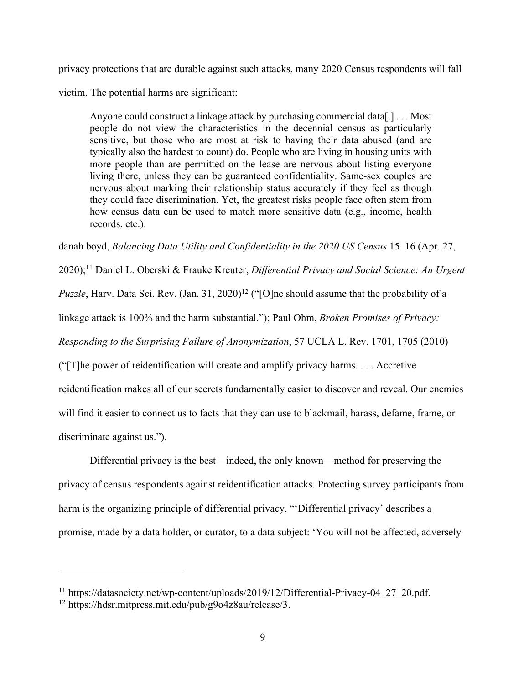privacy protections that are durable against such attacks, many 2020 Census respondents will fall

victim. The potential harms are significant:

Anyone could construct a linkage attack by purchasing commercial data[.] . . . Most people do not view the characteristics in the decennial census as particularly sensitive, but those who are most at risk to having their data abused (and are typically also the hardest to count) do. People who are living in housing units with more people than are permitted on the lease are nervous about listing everyone living there, unless they can be guaranteed confidentiality. Same-sex couples are nervous about marking their relationship status accurately if they feel as though they could face discrimination. Yet, the greatest risks people face often stem from how census data can be used to match more sensitive data (e.g., income, health records, etc.).

danah boyd, *Balancing Data Utility and Confidentiality in the 2020 US Census* 15–16 (Apr. 27,

2020); <sup>11</sup> Daniel L. Oberski & Frauke Kreuter, *Differential Privacy and Social Science: An Urgent Puzzle*, Harv. Data Sci. Rev. (Jan. 31, 2020)<sup>12</sup> ("[O]ne should assume that the probability of a linkage attack is 100% and the harm substantial."); Paul Ohm, *Broken Promises of Privacy: Responding to the Surprising Failure of Anonymization*, 57 UCLA L. Rev. 1701, 1705 (2010) ("[T]he power of reidentification will create and amplify privacy harms. . . . Accretive reidentification makes all of our secrets fundamentally easier to discover and reveal. Our enemies will find it easier to connect us to facts that they can use to blackmail, harass, defame, frame, or discriminate against us.").

Differential privacy is the best—indeed, the only known—method for preserving the privacy of census respondents against reidentification attacks. Protecting survey participants from harm is the organizing principle of differential privacy. "'Differential privacy' describes a promise, made by a data holder, or curator, to a data subject: 'You will not be affected, adversely

<sup>&</sup>lt;sup>11</sup> https://datasociety.net/wp-content/uploads/2019/12/Differential-Privacy-04\_27\_20.pdf.

<sup>12</sup> https://hdsr.mitpress.mit.edu/pub/g9o4z8au/release/3.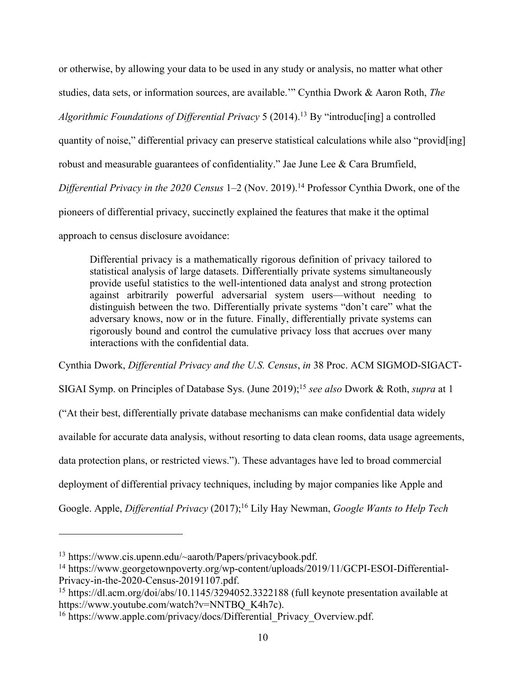or otherwise, by allowing your data to be used in any study or analysis, no matter what other studies, data sets, or information sources, are available.'" Cynthia Dwork & Aaron Roth, *The Algorithmic Foundations of Differential Privacy* 5 (2014). <sup>13</sup> By "introduc[ing] a controlled quantity of noise," differential privacy can preserve statistical calculations while also "provid[ing] robust and measurable guarantees of confidentiality." Jae June Lee & Cara Brumfield, *Differential Privacy in the 2020 Census* 1–2 (Nov. 2019). <sup>14</sup> Professor Cynthia Dwork, one of the pioneers of differential privacy, succinctly explained the features that make it the optimal approach to census disclosure avoidance:

Differential privacy is a mathematically rigorous definition of privacy tailored to statistical analysis of large datasets. Differentially private systems simultaneously provide useful statistics to the well-intentioned data analyst and strong protection against arbitrarily powerful adversarial system users—without needing to distinguish between the two. Differentially private systems "don't care" what the adversary knows, now or in the future. Finally, differentially private systems can rigorously bound and control the cumulative privacy loss that accrues over many interactions with the confidential data.

Cynthia Dwork, *Differential Privacy and the U.S. Census*, *in* 38 Proc. ACM SIGMOD-SIGACT-SIGAI Symp. on Principles of Database Sys. (June 2019); <sup>15</sup> *see also* Dwork & Roth, *supra* at 1 ("At their best, differentially private database mechanisms can make confidential data widely available for accurate data analysis, without resorting to data clean rooms, data usage agreements, data protection plans, or restricted views."). These advantages have led to broad commercial deployment of differential privacy techniques, including by major companies like Apple and Google. Apple, *Differential Privacy* (2017); <sup>16</sup> Lily Hay Newman, *Google Wants to Help Tech* 

<sup>13</sup> https://www.cis.upenn.edu/~aaroth/Papers/privacybook.pdf.

<sup>&</sup>lt;sup>14</sup> https://www.georgetownpoverty.org/wp-content/uploads/2019/11/GCPI-ESOI-Differential-Privacy-in-the-2020-Census-20191107.pdf.

<sup>&</sup>lt;sup>15</sup> https://dl.acm.org/doi/abs/10.1145/3294052.3322188 (full keynote presentation available at https://www.youtube.com/watch?v=NNTBQ\_K4h7c).

<sup>&</sup>lt;sup>16</sup> https://www.apple.com/privacy/docs/Differential\_Privacy\_Overview.pdf.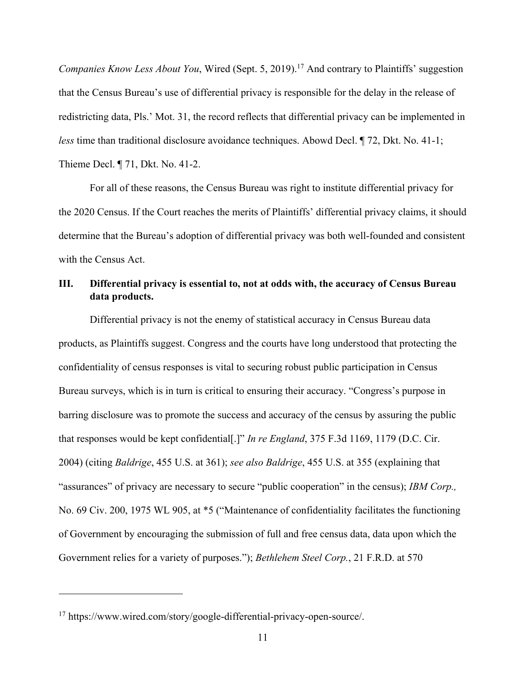*Companies Know Less About You*, Wired (Sept. 5, 2019). <sup>17</sup> And contrary to Plaintiffs' suggestion that the Census Bureau's use of differential privacy is responsible for the delay in the release of redistricting data, Pls.' Mot. 31, the record reflects that differential privacy can be implemented in *less* time than traditional disclosure avoidance techniques. Abowd Decl. ¶ 72, Dkt. No. 41-1; Thieme Decl. ¶ 71, Dkt. No. 41-2.

For all of these reasons, the Census Bureau was right to institute differential privacy for the 2020 Census. If the Court reaches the merits of Plaintiffs' differential privacy claims, it should determine that the Bureau's adoption of differential privacy was both well-founded and consistent with the Census Act.

## **III. Differential privacy is essential to, not at odds with, the accuracy of Census Bureau data products.**

Differential privacy is not the enemy of statistical accuracy in Census Bureau data products, as Plaintiffs suggest. Congress and the courts have long understood that protecting the confidentiality of census responses is vital to securing robust public participation in Census Bureau surveys, which is in turn is critical to ensuring their accuracy. "Congress's purpose in barring disclosure was to promote the success and accuracy of the census by assuring the public that responses would be kept confidential[.]" *In re England*, 375 F.3d 1169, 1179 (D.C. Cir. 2004) (citing *Baldrige*, 455 U.S. at 361); *see also Baldrige*, 455 U.S. at 355 (explaining that "assurances" of privacy are necessary to secure "public cooperation" in the census); *IBM Corp.,*  No. 69 Civ. 200, 1975 WL 905, at \*5 ("Maintenance of confidentiality facilitates the functioning of Government by encouraging the submission of full and free census data, data upon which the Government relies for a variety of purposes."); *Bethlehem Steel Corp.*, 21 F.R.D. at 570

<sup>17</sup> https://www.wired.com/story/google-differential-privacy-open-source/.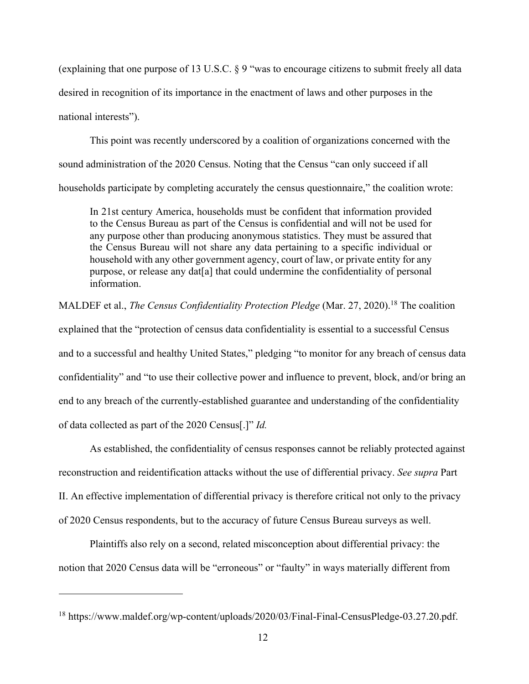(explaining that one purpose of 13 U.S.C. § 9 "was to encourage citizens to submit freely all data desired in recognition of its importance in the enactment of laws and other purposes in the national interests").

This point was recently underscored by a coalition of organizations concerned with the sound administration of the 2020 Census. Noting that the Census "can only succeed if all households participate by completing accurately the census questionnaire," the coalition wrote:

In 21st century America, households must be confident that information provided to the Census Bureau as part of the Census is confidential and will not be used for any purpose other than producing anonymous statistics. They must be assured that the Census Bureau will not share any data pertaining to a specific individual or household with any other government agency, court of law, or private entity for any purpose, or release any dat[a] that could undermine the confidentiality of personal information.

MALDEF et al., *The Census Confidentiality Protection Pledge* (Mar. 27, 2020). <sup>18</sup> The coalition

explained that the "protection of census data confidentiality is essential to a successful Census and to a successful and healthy United States," pledging "to monitor for any breach of census data confidentiality" and "to use their collective power and influence to prevent, block, and/or bring an end to any breach of the currently-established guarantee and understanding of the confidentiality of data collected as part of the 2020 Census[.]" *Id.*

As established, the confidentiality of census responses cannot be reliably protected against reconstruction and reidentification attacks without the use of differential privacy. *See supra* Part II. An effective implementation of differential privacy is therefore critical not only to the privacy of 2020 Census respondents, but to the accuracy of future Census Bureau surveys as well.

Plaintiffs also rely on a second, related misconception about differential privacy: the notion that 2020 Census data will be "erroneous" or "faulty" in ways materially different from

<sup>&</sup>lt;sup>18</sup> https://www.maldef.org/wp-content/uploads/2020/03/Final-Final-CensusPledge-03.27.20.pdf.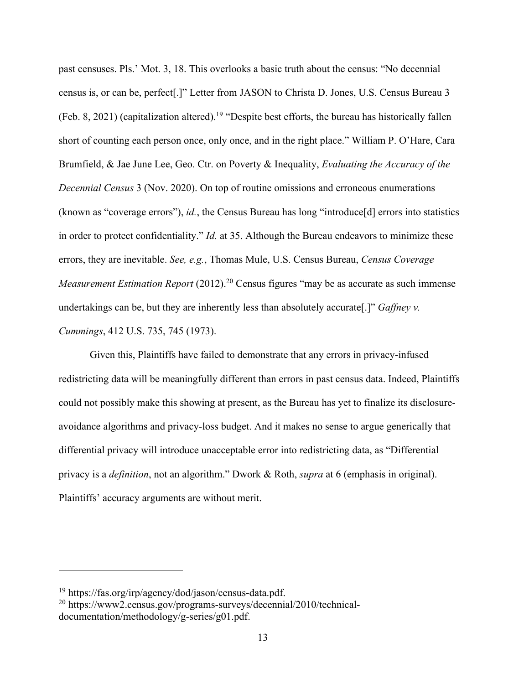past censuses. Pls.' Mot. 3, 18. This overlooks a basic truth about the census: "No decennial census is, or can be, perfect[.]" Letter from JASON to Christa D. Jones, U.S. Census Bureau 3 (Feb. 8, 2021) (capitalization altered). <sup>19</sup> "Despite best efforts, the bureau has historically fallen short of counting each person once, only once, and in the right place." William P. O'Hare, Cara Brumfield, & Jae June Lee, Geo. Ctr. on Poverty & Inequality, *Evaluating the Accuracy of the Decennial Census* 3 (Nov. 2020). On top of routine omissions and erroneous enumerations (known as "coverage errors"), *id.*, the Census Bureau has long "introduce[d] errors into statistics in order to protect confidentiality." *Id.* at 35. Although the Bureau endeavors to minimize these errors, they are inevitable. *See, e.g.*, Thomas Mule, U.S. Census Bureau, *Census Coverage Measurement Estimation Report* (2012).<sup>20</sup> Census figures "may be as accurate as such immense undertakings can be, but they are inherently less than absolutely accurate[.]" *Gaffney v. Cummings*, 412 U.S. 735, 745 (1973).

Given this, Plaintiffs have failed to demonstrate that any errors in privacy-infused redistricting data will be meaningfully different than errors in past census data. Indeed, Plaintiffs could not possibly make this showing at present, as the Bureau has yet to finalize its disclosureavoidance algorithms and privacy-loss budget. And it makes no sense to argue generically that differential privacy will introduce unacceptable error into redistricting data, as "Differential privacy is a *definition*, not an algorithm." Dwork & Roth, *supra* at 6 (emphasis in original). Plaintiffs' accuracy arguments are without merit.

<sup>19</sup> https://fas.org/irp/agency/dod/jason/census-data.pdf.

<sup>20</sup> https://www2.census.gov/programs-surveys/decennial/2010/technicaldocumentation/methodology/g-series/g01.pdf.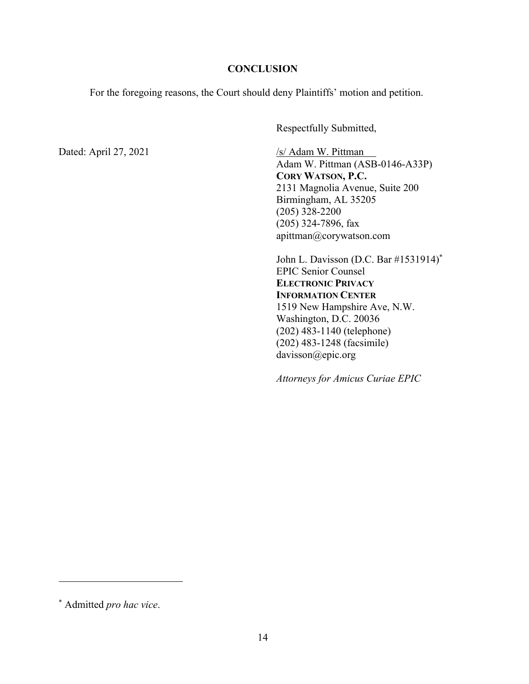### **CONCLUSION**

For the foregoing reasons, the Court should deny Plaintiffs' motion and petition.

Respectfully Submitted,

Dated: April 27, 2021 /s/ Adam W. Pittman

Adam W. Pittman (ASB-0146-A33P) **CORY WATSON, P.C.** 2131 Magnolia Avenue, Suite 200 Birmingham, AL 35205 (205) 328-2200 (205) 324-7896, fax apittman@corywatson.com

John L. Davisson (D.C. Bar #1531914) \* EPIC Senior Counsel **ELECTRONIC PRIVACY INFORMATION CENTER** 1519 New Hampshire Ave, N.W. Washington, D.C. 20036 (202) 483-1140 (telephone) (202) 483-1248 (facsimile) davisson@epic.org

*Attorneys for Amicus Curiae EPIC*

<sup>\*</sup> Admitted *pro hac vice*.